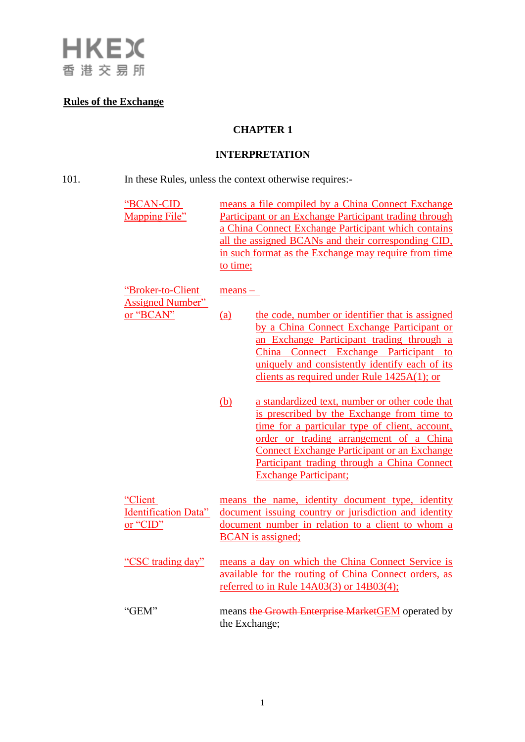

# **Rules of the Exchange**

# **CHAPTER 1**

# **INTERPRETATION**

| 101. | In these Rules, unless the context otherwise requires:- |
|------|---------------------------------------------------------|
|------|---------------------------------------------------------|

| "BCAN-CID"<br><b>Mapping File"</b>                 | means a file compiled by a China Connect Exchange<br>Participant or an Exchange Participant trading through<br>a China Connect Exchange Participant which contains<br>all the assigned BCANs and their corresponding CID,<br>in such format as the Exchange may require from time<br>to time;                                         |
|----------------------------------------------------|---------------------------------------------------------------------------------------------------------------------------------------------------------------------------------------------------------------------------------------------------------------------------------------------------------------------------------------|
| "Broker-to-Client<br><b>Assigned Number"</b>       | $means -$                                                                                                                                                                                                                                                                                                                             |
| or "BCAN"                                          | the code, number or identifier that is assigned<br>(a)<br>by a China Connect Exchange Participant or<br>an Exchange Participant trading through a<br>China Connect Exchange Participant to<br>uniquely and consistently identify each of its<br>clients as required under Rule $1425A(1)$ ; or                                        |
|                                                    | (b)<br>a standardized text, number or other code that<br>is prescribed by the Exchange from time to<br>time for a particular type of client, account,<br>order or trading arrangement of a China<br><b>Connect Exchange Participant or an Exchange</b><br>Participant trading through a China Connect<br><b>Exchange Participant;</b> |
| "Client<br><b>Identification Data"</b><br>or "CID" | means the name, identity document type, identity<br>document issuing country or jurisdiction and identity<br>document number in relation to a client to whom a<br><b>BCAN</b> is assigned;                                                                                                                                            |
| "CSC trading day"                                  | means a day on which the China Connect Service is<br>available for the routing of China Connect orders, as<br>referred to in Rule $14A03(3)$ or $14B03(4)$ ;                                                                                                                                                                          |
| "GEM"                                              | means the Growth Enterprise MarketGEM operated by<br>the Exchange;                                                                                                                                                                                                                                                                    |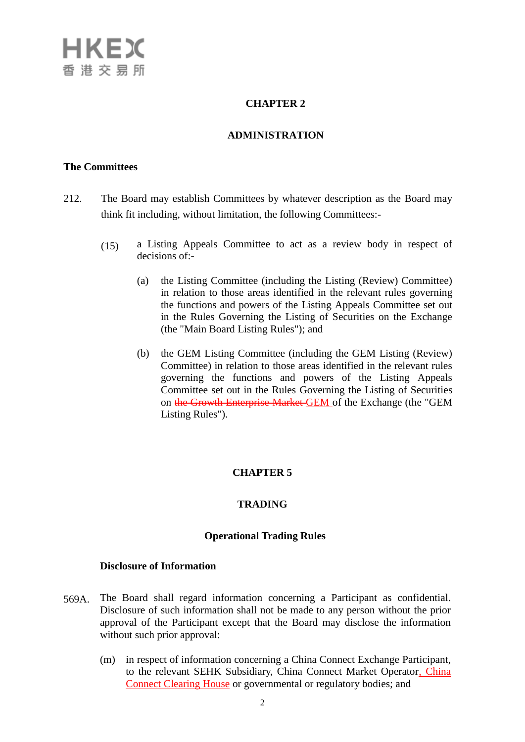## **CHAPTER 2**

#### **ADMINISTRATION**

#### **The Committees**

- 212. The Board may establish Committees by whatever description as the Board may think fit including, without limitation, the following Committees:-
	- (15) a Listing Appeals Committee to act as a review body in respect of decisions of:-
		- (a) the Listing Committee (including the Listing (Review) Committee) in relation to those areas identified in the relevant rules governing the functions and powers of the Listing Appeals Committee set out in the Rules Governing the Listing of Securities on the Exchange (the "Main Board Listing Rules"); and
		- (b) the GEM Listing Committee (including the GEM Listing (Review) Committee) in relation to those areas identified in the relevant rules governing the functions and powers of the Listing Appeals Committee set out in the Rules Governing the Listing of Securities on the Growth Enterprise Market GEM of the Exchange (the "GEM Listing Rules").

### **CHAPTER 5**

#### **TRADING**

#### **Operational Trading Rules**

#### **Disclosure of Information**

- 569A. The Board shall regard information concerning a Participant as confidential. Disclosure of such information shall not be made to any person without the prior approval of the Participant except that the Board may disclose the information without such prior approval:
	- (m) in respect of information concerning a China Connect Exchange Participant, to the relevant SEHK Subsidiary, China Connect Market Operator, China Connect Clearing House or governmental or regulatory bodies; and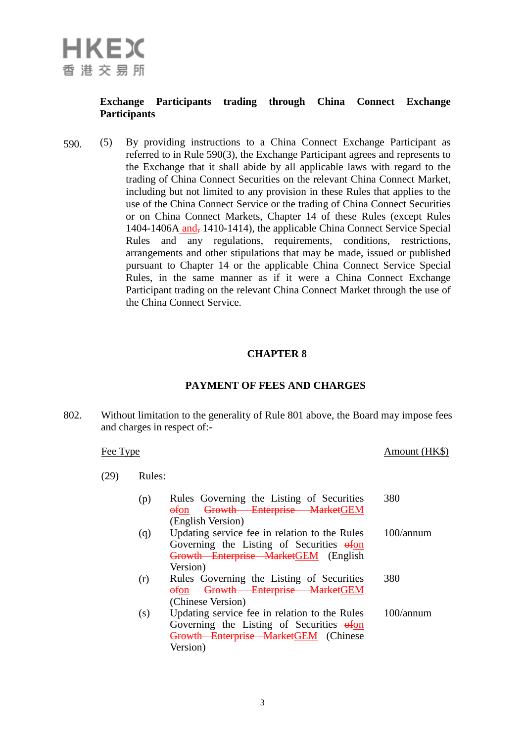## **Exchange Participants trading through China Connect Exchange Participants**

590. (5) By providing instructions to a China Connect Exchange Participant as referred to in Rule 590(3), the Exchange Participant agrees and represents to the Exchange that it shall abide by all applicable laws with regard to the trading of China Connect Securities on the relevant China Connect Market, including but not limited to any provision in these Rules that applies to the use of the China Connect Service or the trading of China Connect Securities or on China Connect Markets, Chapter 14 of these Rules (except Rules 1404-1406A and, 1410-1414), the applicable China Connect Service Special Rules and any regulations, requirements, conditions, restrictions, arrangements and other stipulations that may be made, issued or published pursuant to Chapter 14 or the applicable China Connect Service Special Rules, in the same manner as if it were a China Connect Exchange Participant trading on the relevant China Connect Market through the use of the China Connect Service.

#### **CHAPTER 8**

### **PAYMENT OF FEES AND CHARGES**

802. Without limitation to the generality of Rule 801 above, the Board may impose fees and charges in respect of:-

| Fee Type |      |        | Amount (HK\$)                                                                                                                                  |           |
|----------|------|--------|------------------------------------------------------------------------------------------------------------------------------------------------|-----------|
|          | (29) | Rules: |                                                                                                                                                |           |
|          |      | (p)    | Rules Governing the Listing of Securities<br>Growth Enterprise MarketGEM<br><del>of</del> on<br>(English Version)                              | 380       |
|          |      | (q)    | Updating service fee in relation to the Rules<br>Governing the Listing of Securities of on<br>Growth Enterprise MarketGEM (English<br>Version) | 100/annum |
|          |      | (r)    | Rules Governing the Listing of Securities<br>Growth Enterprise MarketGEM<br>$\theta$ fon<br>(Chinese Version)                                  | 380       |
|          |      | (s)    | Updating service fee in relation to the Rules<br>Governing the Listing of Securities of on<br>Growth Enterprise MarketGEM (Chinese<br>Version) | 100/annum |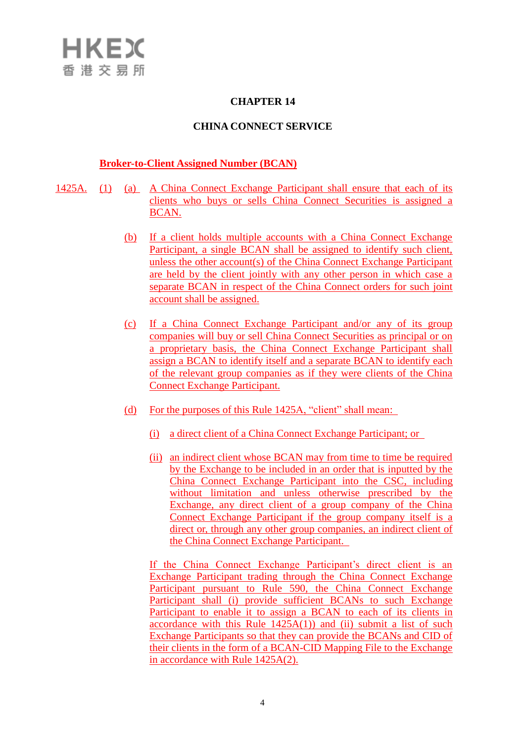### **CHAPTER 14**

#### **CHINA CONNECT SERVICE**

#### **Broker-to-Client Assigned Number (BCAN)**

- 1425A. (1) (a) A China Connect Exchange Participant shall ensure that each of its clients who buys or sells China Connect Securities is assigned a BCAN.
	- (b) If a client holds multiple accounts with a China Connect Exchange Participant, a single BCAN shall be assigned to identify such client, unless the other account(s) of the China Connect Exchange Participant are held by the client jointly with any other person in which case a separate BCAN in respect of the China Connect orders for such joint account shall be assigned.
	- (c) If a China Connect Exchange Participant and/or any of its group companies will buy or sell China Connect Securities as principal or on a proprietary basis, the China Connect Exchange Participant shall assign a BCAN to identify itself and a separate BCAN to identify each of the relevant group companies as if they were clients of the China Connect Exchange Participant.
	- (d) For the purposes of this Rule 1425A, "client" shall mean:
		- (i) a direct client of a China Connect Exchange Participant; or
		- (ii) an indirect client whose BCAN may from time to time be required by the Exchange to be included in an order that is inputted by the China Connect Exchange Participant into the CSC, including without limitation and unless otherwise prescribed by the Exchange, any direct client of a group company of the China Connect Exchange Participant if the group company itself is a direct or, through any other group companies, an indirect client of the China Connect Exchange Participant.

If the China Connect Exchange Participant's direct client is an Exchange Participant trading through the China Connect Exchange Participant pursuant to Rule 590, the China Connect Exchange Participant shall (i) provide sufficient BCANs to such Exchange Participant to enable it to assign a BCAN to each of its clients in accordance with this Rule  $1425A(1)$  and (ii) submit a list of such Exchange Participants so that they can provide the BCANs and CID of their clients in the form of a BCAN-CID Mapping File to the Exchange in accordance with Rule 1425A(2).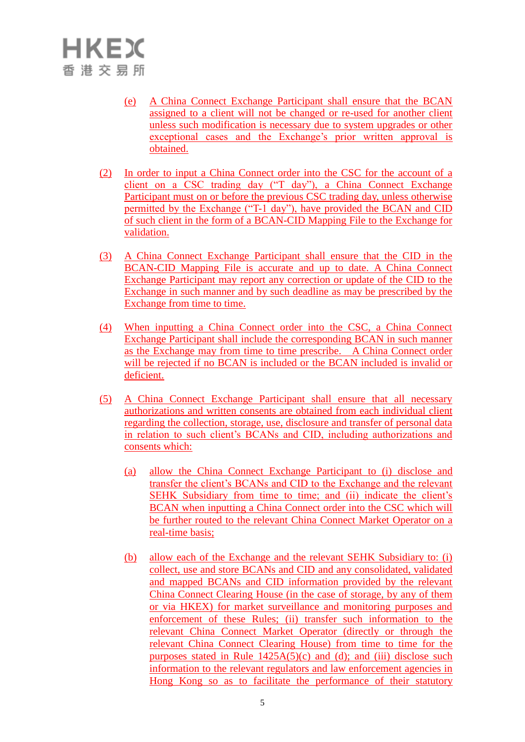- (e) A China Connect Exchange Participant shall ensure that the BCAN assigned to a client will not be changed or re-used for another client unless such modification is necessary due to system upgrades or other exceptional cases and the Exchange's prior written approval is obtained.
- (2) In order to input a China Connect order into the CSC for the account of a client on a CSC trading day ("T day"), a China Connect Exchange Participant must on or before the previous CSC trading day, unless otherwise permitted by the Exchange ("T-1 day"), have provided the BCAN and CID of such client in the form of a BCAN-CID Mapping File to the Exchange for validation.
- (3) A China Connect Exchange Participant shall ensure that the CID in the BCAN-CID Mapping File is accurate and up to date. A China Connect Exchange Participant may report any correction or update of the CID to the Exchange in such manner and by such deadline as may be prescribed by the Exchange from time to time.
- (4) When inputting a China Connect order into the CSC, a China Connect Exchange Participant shall include the corresponding BCAN in such manner as the Exchange may from time to time prescribe. A China Connect order will be rejected if no BCAN is included or the BCAN included is invalid or deficient.
- (5) A China Connect Exchange Participant shall ensure that all necessary authorizations and written consents are obtained from each individual client regarding the collection, storage, use, disclosure and transfer of personal data in relation to such client's BCANs and CID, including authorizations and consents which:
	- (a) allow the China Connect Exchange Participant to (i) disclose and transfer the client's BCANs and CID to the Exchange and the relevant SEHK Subsidiary from time to time; and (ii) indicate the client's BCAN when inputting a China Connect order into the CSC which will be further routed to the relevant China Connect Market Operator on a real-time basis;
	- (b) allow each of the Exchange and the relevant SEHK Subsidiary to: (i) collect, use and store BCANs and CID and any consolidated, validated and mapped BCANs and CID information provided by the relevant China Connect Clearing House (in the case of storage, by any of them or via HKEX) for market surveillance and monitoring purposes and enforcement of these Rules; (ii) transfer such information to the relevant China Connect Market Operator (directly or through the relevant China Connect Clearing House) from time to time for the purposes stated in Rule  $1425A(5)(c)$  and (d); and (iii) disclose such information to the relevant regulators and law enforcement agencies in Hong Kong so as to facilitate the performance of their statutory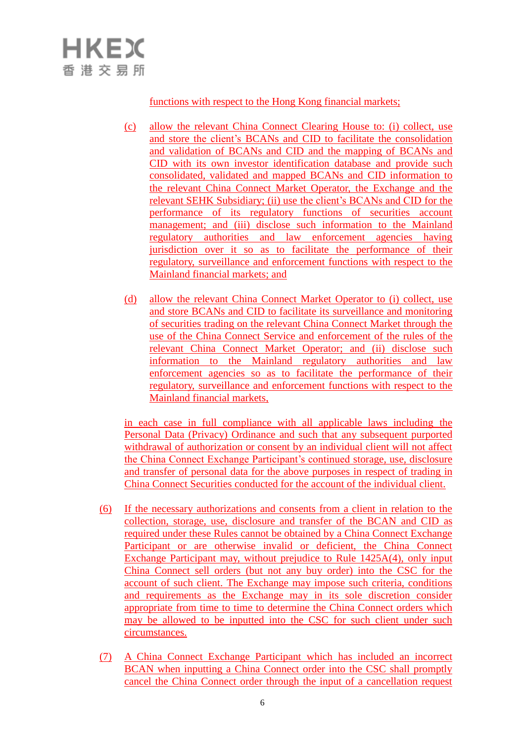## functions with respect to the Hong Kong financial markets;

- (c) allow the relevant China Connect Clearing House to: (i) collect, use and store the client's BCANs and CID to facilitate the consolidation and validation of BCANs and CID and the mapping of BCANs and CID with its own investor identification database and provide such consolidated, validated and mapped BCANs and CID information to the relevant China Connect Market Operator, the Exchange and the relevant SEHK Subsidiary; (ii) use the client's BCANs and CID for the performance of its regulatory functions of securities account management; and (iii) disclose such information to the Mainland regulatory authorities and law enforcement agencies having jurisdiction over it so as to facilitate the performance of their regulatory, surveillance and enforcement functions with respect to the Mainland financial markets; and
- (d) allow the relevant China Connect Market Operator to (i) collect, use and store BCANs and CID to facilitate its surveillance and monitoring of securities trading on the relevant China Connect Market through the use of the China Connect Service and enforcement of the rules of the relevant China Connect Market Operator; and (ii) disclose such information to the Mainland regulatory authorities and law enforcement agencies so as to facilitate the performance of their regulatory, surveillance and enforcement functions with respect to the Mainland financial markets,

in each case in full compliance with all applicable laws including the Personal Data (Privacy) Ordinance and such that any subsequent purported withdrawal of authorization or consent by an individual client will not affect the China Connect Exchange Participant's continued storage, use, disclosure and transfer of personal data for the above purposes in respect of trading in China Connect Securities conducted for the account of the individual client.

- (6) If the necessary authorizations and consents from a client in relation to the collection, storage, use, disclosure and transfer of the BCAN and CID as required under these Rules cannot be obtained by a China Connect Exchange Participant or are otherwise invalid or deficient, the China Connect Exchange Participant may, without prejudice to Rule 1425A(4), only input China Connect sell orders (but not any buy order) into the CSC for the account of such client. The Exchange may impose such criteria, conditions and requirements as the Exchange may in its sole discretion consider appropriate from time to time to determine the China Connect orders which may be allowed to be inputted into the CSC for such client under such circumstances.
- (7) A China Connect Exchange Participant which has included an incorrect BCAN when inputting a China Connect order into the CSC shall promptly cancel the China Connect order through the input of a cancellation request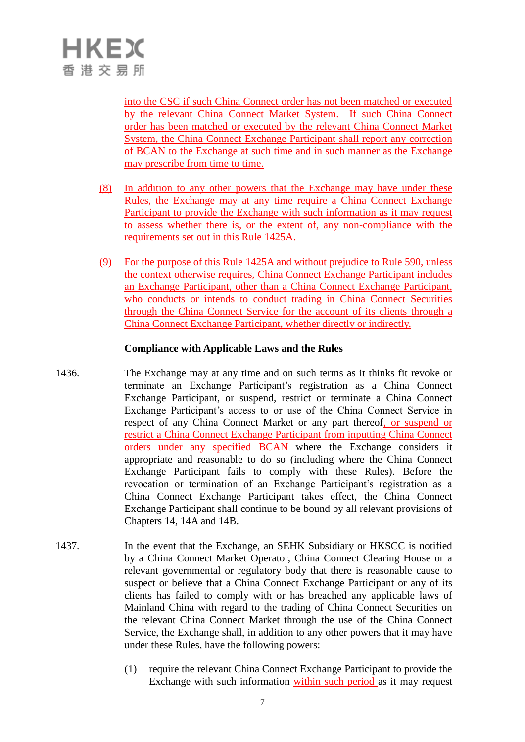into the CSC if such China Connect order has not been matched or executed by the relevant China Connect Market System. If such China Connect order has been matched or executed by the relevant China Connect Market System, the China Connect Exchange Participant shall report any correction of BCAN to the Exchange at such time and in such manner as the Exchange may prescribe from time to time.

- (8) In addition to any other powers that the Exchange may have under these Rules, the Exchange may at any time require a China Connect Exchange Participant to provide the Exchange with such information as it may request to assess whether there is, or the extent of, any non-compliance with the requirements set out in this Rule 1425A.
- (9) For the purpose of this Rule 1425A and without prejudice to Rule 590, unless the context otherwise requires, China Connect Exchange Participant includes an Exchange Participant, other than a China Connect Exchange Participant, who conducts or intends to conduct trading in China Connect Securities through the China Connect Service for the account of its clients through a China Connect Exchange Participant, whether directly or indirectly.

#### **Compliance with Applicable Laws and the Rules**

- 1436. The Exchange may at any time and on such terms as it thinks fit revoke or terminate an Exchange Participant's registration as a China Connect Exchange Participant, or suspend, restrict or terminate a China Connect Exchange Participant's access to or use of the China Connect Service in respect of any China Connect Market or any part thereof, or suspend or restrict a China Connect Exchange Participant from inputting China Connect orders under any specified BCAN where the Exchange considers it appropriate and reasonable to do so (including where the China Connect Exchange Participant fails to comply with these Rules). Before the revocation or termination of an Exchange Participant's registration as a China Connect Exchange Participant takes effect, the China Connect Exchange Participant shall continue to be bound by all relevant provisions of Chapters 14, 14A and 14B.
- 1437. In the event that the Exchange, an SEHK Subsidiary or HKSCC is notified by a China Connect Market Operator, China Connect Clearing House or a relevant governmental or regulatory body that there is reasonable cause to suspect or believe that a China Connect Exchange Participant or any of its clients has failed to comply with or has breached any applicable laws of Mainland China with regard to the trading of China Connect Securities on the relevant China Connect Market through the use of the China Connect Service, the Exchange shall, in addition to any other powers that it may have under these Rules, have the following powers:
	- (1) require the relevant China Connect Exchange Participant to provide the Exchange with such information within such period as it may request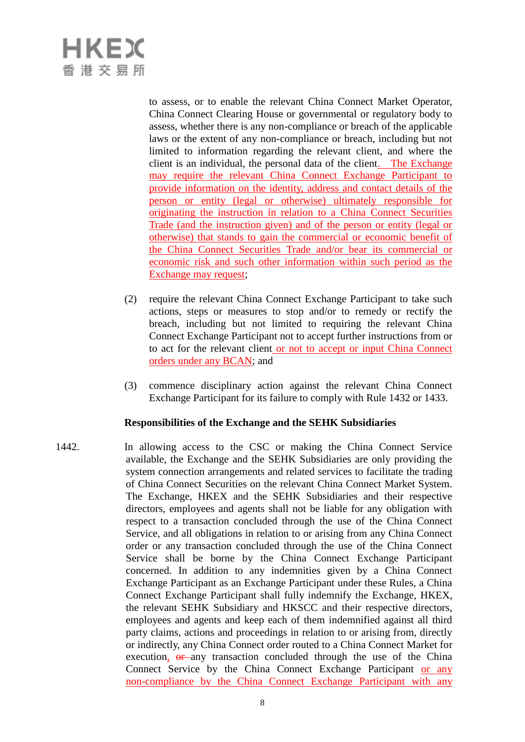to assess, or to enable the relevant China Connect Market Operator, China Connect Clearing House or governmental or regulatory body to assess, whether there is any non-compliance or breach of the applicable laws or the extent of any non-compliance or breach, including but not limited to information regarding the relevant client, and where the client is an individual, the personal data of the client. The Exchange may require the relevant China Connect Exchange Participant to provide information on the identity, address and contact details of the person or entity (legal or otherwise) ultimately responsible for originating the instruction in relation to a China Connect Securities Trade (and the instruction given) and of the person or entity (legal or otherwise) that stands to gain the commercial or economic benefit of the China Connect Securities Trade and/or bear its commercial or economic risk and such other information within such period as the Exchange may request;

- (2) require the relevant China Connect Exchange Participant to take such actions, steps or measures to stop and/or to remedy or rectify the breach, including but not limited to requiring the relevant China Connect Exchange Participant not to accept further instructions from or to act for the relevant client or not to accept or input China Connect orders under any BCAN; and
- (3) commence disciplinary action against the relevant China Connect Exchange Participant for its failure to comply with Rule 1432 or 1433.

#### **Responsibilities of the Exchange and the SEHK Subsidiaries**

1442. In allowing access to the CSC or making the China Connect Service available, the Exchange and the SEHK Subsidiaries are only providing the system connection arrangements and related services to facilitate the trading of China Connect Securities on the relevant China Connect Market System. The Exchange, HKEX and the SEHK Subsidiaries and their respective directors, employees and agents shall not be liable for any obligation with respect to a transaction concluded through the use of the China Connect Service, and all obligations in relation to or arising from any China Connect order or any transaction concluded through the use of the China Connect Service shall be borne by the China Connect Exchange Participant concerned. In addition to any indemnities given by a China Connect Exchange Participant as an Exchange Participant under these Rules, a China Connect Exchange Participant shall fully indemnify the Exchange, HKEX, the relevant SEHK Subsidiary and HKSCC and their respective directors, employees and agents and keep each of them indemnified against all third party claims, actions and proceedings in relation to or arising from, directly or indirectly, any China Connect order routed to a China Connect Market for execution,  $\theta$  any transaction concluded through the use of the China Connect Service by the China Connect Exchange Participant or any non-compliance by the China Connect Exchange Participant with any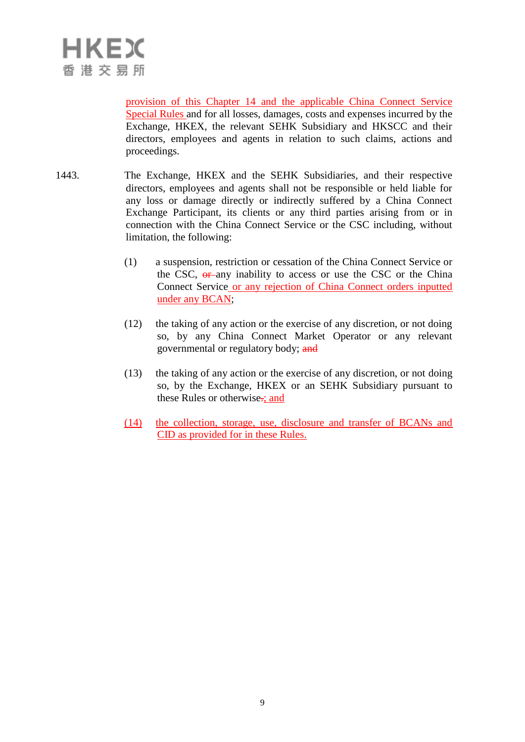provision of this Chapter 14 and the applicable China Connect Service Special Rules and for all losses, damages, costs and expenses incurred by the Exchange, HKEX, the relevant SEHK Subsidiary and HKSCC and their directors, employees and agents in relation to such claims, actions and proceedings.

- 1443. The Exchange, HKEX and the SEHK Subsidiaries, and their respective directors, employees and agents shall not be responsible or held liable for any loss or damage directly or indirectly suffered by a China Connect Exchange Participant, its clients or any third parties arising from or in connection with the China Connect Service or the CSC including, without limitation, the following:
	- (1) a suspension, restriction or cessation of the China Connect Service or the CSC,  $\theta$  any inability to access or use the CSC or the China Connect Service or any rejection of China Connect orders inputted under any BCAN;
	- (12) the taking of any action or the exercise of any discretion, or not doing so, by any China Connect Market Operator or any relevant governmental or regulatory body; and
	- (13) the taking of any action or the exercise of any discretion, or not doing so, by the Exchange, HKEX or an SEHK Subsidiary pursuant to these Rules or otherwise-; and
	- (14) the collection, storage, use, disclosure and transfer of BCANs and CID as provided for in these Rules.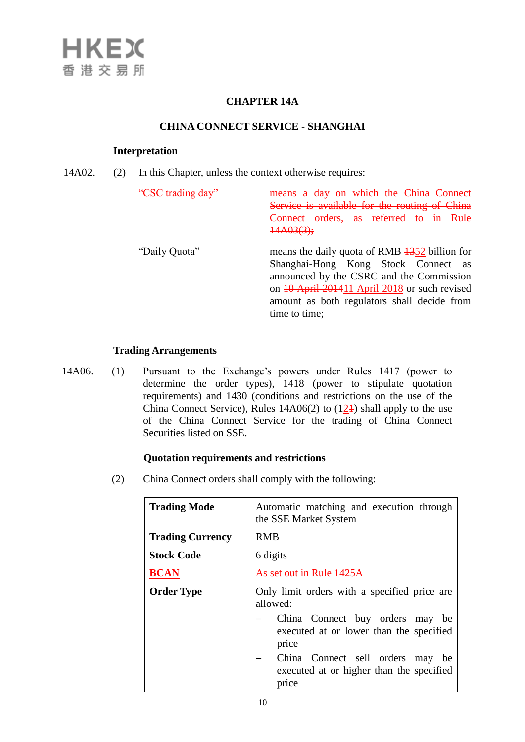#### **CHAPTER 14A**

#### **CHINA CONNECT SERVICE - SHANGHAI**

#### **Interpretation**

14A02. (2) In this Chapter, unless the context otherwise requires:

| $"CQ$ trading day" | day on which the China Connect<br>Service is available for the routing of China<br>Connect orders, as referred to in<br><del>14A03(3);</del>                                                                                                                     |
|--------------------|------------------------------------------------------------------------------------------------------------------------------------------------------------------------------------------------------------------------------------------------------------------|
| "Daily Quota"      | means the daily quota of RMB $\frac{1352}{1302}$ billion for<br>Shanghai-Hong Kong Stock Connect as<br>announced by the CSRC and the Commission<br>on 10 April 201411 April 2018 or such revised<br>amount as both regulators shall decide from<br>time to time: |

#### **Trading Arrangements**

14A06. (1) Pursuant to the Exchange's powers under Rules 1417 (power to determine the order types), 1418 (power to stipulate quotation requirements) and 1430 (conditions and restrictions on the use of the China Connect Service), Rules  $14A06(2)$  to  $(124)$  shall apply to the use of the China Connect Service for the trading of China Connect Securities listed on SSE.

#### **Quotation requirements and restrictions**

(2) China Connect orders shall comply with the following:

| <b>Trading Mode</b>     | Automatic matching and execution through<br>the SSE Market System                     |
|-------------------------|---------------------------------------------------------------------------------------|
| <b>Trading Currency</b> | <b>RMB</b>                                                                            |
| <b>Stock Code</b>       | 6 digits                                                                              |
| <b>BCAN</b>             | As set out in Rule 1425A                                                              |
| <b>Order Type</b>       | Only limit orders with a specified price are<br>allowed:                              |
|                         | China Connect buy orders may be<br>executed at or lower than the specified<br>price   |
|                         | China Connect sell orders may be<br>executed at or higher than the specified<br>price |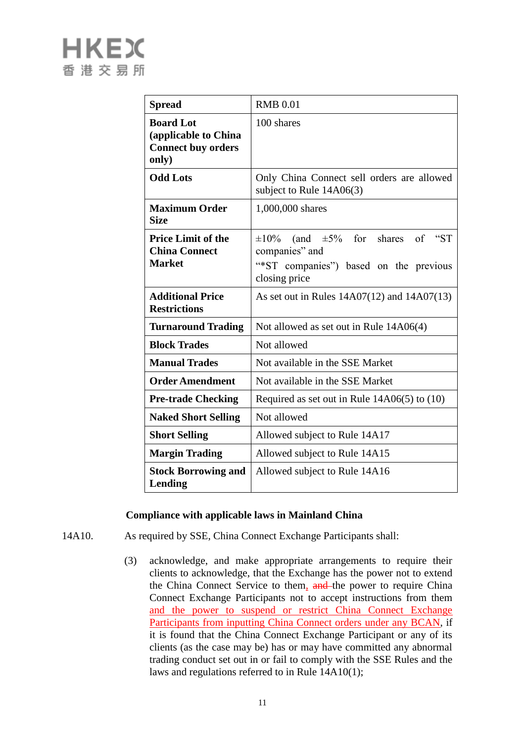| <b>Spread</b>                                                                  | <b>RMB 0.01</b>                                                                                                                   |
|--------------------------------------------------------------------------------|-----------------------------------------------------------------------------------------------------------------------------------|
| <b>Board Lot</b><br>(applicable to China<br><b>Connect buy orders</b><br>only) | 100 shares                                                                                                                        |
| <b>Odd Lots</b>                                                                | Only China Connect sell orders are allowed<br>subject to Rule $14A06(3)$                                                          |
| <b>Maximum Order</b><br><b>Size</b>                                            | 1,000,000 shares                                                                                                                  |
| <b>Price Limit of the</b><br><b>China Connect</b><br><b>Market</b>             | (and $\pm 5\%$ for shares<br>"ST<br>$\pm 10\%$<br>of<br>companies" and<br>"*ST companies") based on the previous<br>closing price |
| <b>Additional Price</b><br><b>Restrictions</b>                                 | As set out in Rules $14A07(12)$ and $14A07(13)$                                                                                   |
| <b>Turnaround Trading</b>                                                      | Not allowed as set out in Rule 14A06(4)                                                                                           |
| <b>Block Trades</b>                                                            | Not allowed                                                                                                                       |
| <b>Manual Trades</b>                                                           | Not available in the SSE Market                                                                                                   |
| <b>Order Amendment</b>                                                         | Not available in the SSE Market                                                                                                   |
| <b>Pre-trade Checking</b>                                                      | Required as set out in Rule $14A06(5)$ to $(10)$                                                                                  |
| <b>Naked Short Selling</b>                                                     | Not allowed                                                                                                                       |
| <b>Short Selling</b>                                                           | Allowed subject to Rule 14A17                                                                                                     |
| <b>Margin Trading</b>                                                          | Allowed subject to Rule 14A15                                                                                                     |
| <b>Stock Borrowing and</b><br>Lending                                          | Allowed subject to Rule 14A16                                                                                                     |

### **Compliance with applicable laws in Mainland China**

- 14A10. As required by SSE, China Connect Exchange Participants shall:
	- (3) acknowledge, and make appropriate arrangements to require their clients to acknowledge, that the Exchange has the power not to extend the China Connect Service to them, and the power to require China Connect Exchange Participants not to accept instructions from them and the power to suspend or restrict China Connect Exchange Participants from inputting China Connect orders under any BCAN, if it is found that the China Connect Exchange Participant or any of its clients (as the case may be) has or may have committed any abnormal trading conduct set out in or fail to comply with the SSE Rules and the laws and regulations referred to in Rule 14A10(1);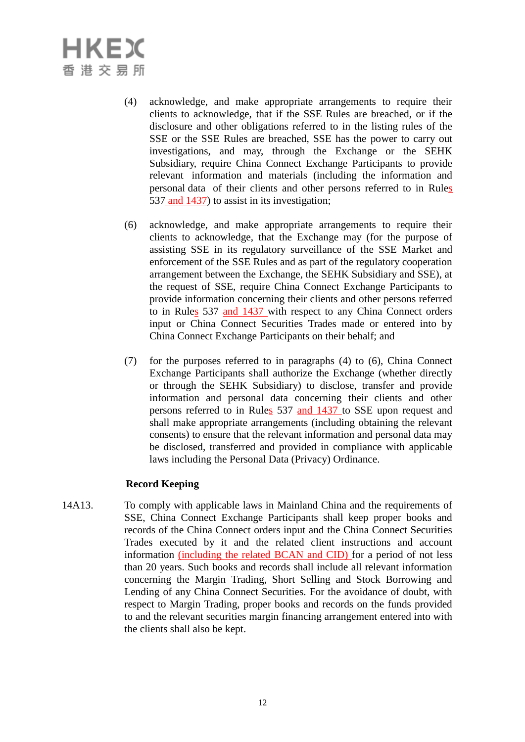- (4) acknowledge, and make appropriate arrangements to require their clients to acknowledge, that if the SSE Rules are breached, or if the disclosure and other obligations referred to in the listing rules of the SSE or the SSE Rules are breached, SSE has the power to carry out investigations, and may, through the Exchange or the SEHK Subsidiary, require China Connect Exchange Participants to provide relevant information and materials (including the information and personal data of their clients and other persons referred to in Rules 537 and 1437) to assist in its investigation;
- (6) acknowledge, and make appropriate arrangements to require their clients to acknowledge, that the Exchange may (for the purpose of assisting SSE in its regulatory surveillance of the SSE Market and enforcement of the SSE Rules and as part of the regulatory cooperation arrangement between the Exchange, the SEHK Subsidiary and SSE), at the request of SSE, require China Connect Exchange Participants to provide information concerning their clients and other persons referred to in Rules 537 and 1437 with respect to any China Connect orders input or China Connect Securities Trades made or entered into by China Connect Exchange Participants on their behalf; and
- (7) for the purposes referred to in paragraphs (4) to (6), China Connect Exchange Participants shall authorize the Exchange (whether directly or through the SEHK Subsidiary) to disclose, transfer and provide information and personal data concerning their clients and other persons referred to in Rules 537 and 1437 to SSE upon request and shall make appropriate arrangements (including obtaining the relevant consents) to ensure that the relevant information and personal data may be disclosed, transferred and provided in compliance with applicable laws including the Personal Data (Privacy) Ordinance.

### **Record Keeping**

14A13. To comply with applicable laws in Mainland China and the requirements of SSE, China Connect Exchange Participants shall keep proper books and records of the China Connect orders input and the China Connect Securities Trades executed by it and the related client instructions and account information (including the related BCAN and CID) for a period of not less than 20 years. Such books and records shall include all relevant information concerning the Margin Trading, Short Selling and Stock Borrowing and Lending of any China Connect Securities. For the avoidance of doubt, with respect to Margin Trading, proper books and records on the funds provided to and the relevant securities margin financing arrangement entered into with the clients shall also be kept.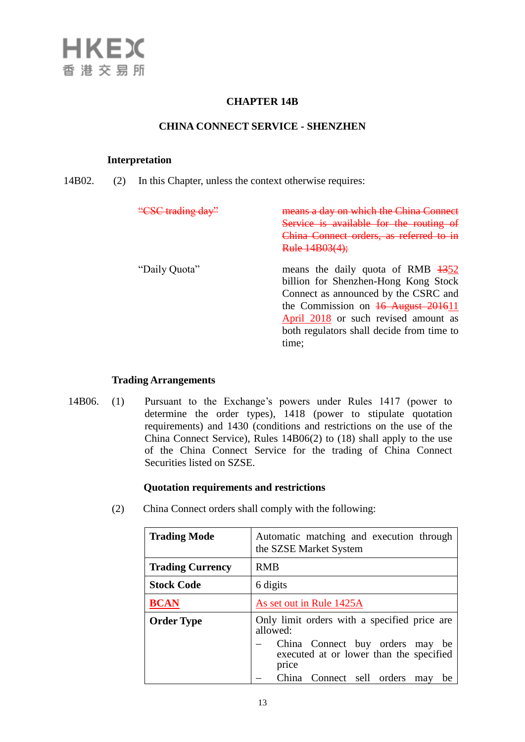#### **CHAPTER 14B**

#### **CHINA CONNECT SERVICE - SHENZHEN**

#### **Interpretation**

14B02. (2) In this Chapter, unless the context otherwise requires:

| "CSC trading day" | day on which the China Con                    |
|-------------------|-----------------------------------------------|
|                   | Service is available for the routing          |
|                   | China Connect orders, as referred to in       |
|                   | <del>Rule 14B03(4);</del>                     |
| "Daily Quota"     | means the daily quota of RMB $\frac{1352}{ }$ |
|                   | billion for Shenzhen-Hong Kong Stock          |
|                   | Connect as announced by the CSRC and          |
|                   | the Commission on $16$ August 201611          |
|                   | April 2018 or such revised amount as          |
|                   | both regulators shall decide from time to     |
|                   | time;                                         |
|                   |                                               |

#### **Trading Arrangements**

14B06. (1) Pursuant to the Exchange's powers under Rules 1417 (power to determine the order types), 1418 (power to stipulate quotation requirements) and 1430 (conditions and restrictions on the use of the China Connect Service), Rules 14B06(2) to (18) shall apply to the use of the China Connect Service for the trading of China Connect Securities listed on SZSE.

#### **Quotation requirements and restrictions**

(2) China Connect orders shall comply with the following:

| <b>Trading Mode</b>     | Automatic matching and execution through<br>the SZSE Market System                                                                              |
|-------------------------|-------------------------------------------------------------------------------------------------------------------------------------------------|
| <b>Trading Currency</b> | <b>RMB</b>                                                                                                                                      |
| <b>Stock Code</b>       | 6 digits                                                                                                                                        |
| <b>BCAN</b>             | As set out in Rule 1425A                                                                                                                        |
| <b>Order Type</b>       | Only limit orders with a specified price are<br>allowed:<br>China Connect buy orders may be<br>executed at or lower than the specified<br>price |
|                         | China Connect sell orders<br>may<br>be                                                                                                          |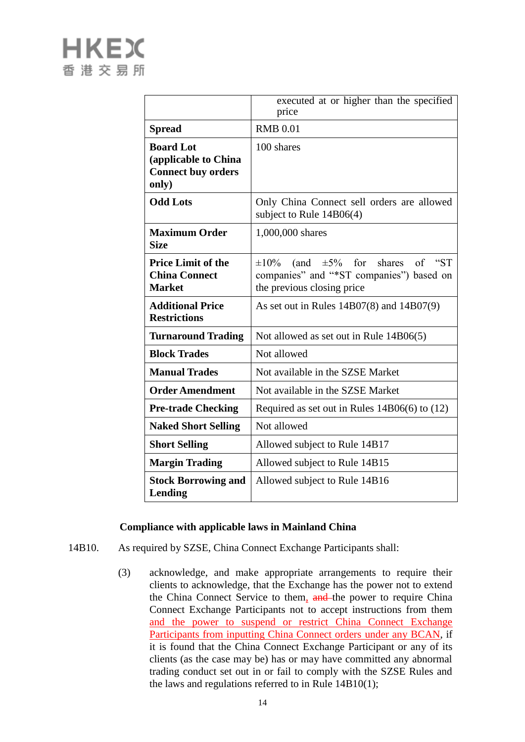|                                                                                | executed at or higher than the specified<br>price                                                                                    |
|--------------------------------------------------------------------------------|--------------------------------------------------------------------------------------------------------------------------------------|
| <b>Spread</b>                                                                  | <b>RMB 0.01</b>                                                                                                                      |
| <b>Board Lot</b><br>(applicable to China<br><b>Connect buy orders</b><br>only) | 100 shares                                                                                                                           |
| <b>Odd Lots</b>                                                                | Only China Connect sell orders are allowed<br>subject to Rule $14B06(4)$                                                             |
| <b>Maximum Order</b><br><b>Size</b>                                            | 1,000,000 shares                                                                                                                     |
| <b>Price Limit of the</b><br><b>China Connect</b><br><b>Market</b>             | for<br>of "ST<br>$\pm 10\%$<br>$\pm 5\%$<br>shares<br>(and<br>companies" and "*ST companies") based on<br>the previous closing price |
| <b>Additional Price</b><br><b>Restrictions</b>                                 | As set out in Rules $14B07(8)$ and $14B07(9)$                                                                                        |
| <b>Turnaround Trading</b>                                                      | Not allowed as set out in Rule 14B06(5)                                                                                              |
| <b>Block Trades</b>                                                            | Not allowed                                                                                                                          |
| <b>Manual Trades</b>                                                           | Not available in the SZSE Market                                                                                                     |
| <b>Order Amendment</b>                                                         | Not available in the SZSE Market                                                                                                     |
| <b>Pre-trade Checking</b>                                                      | Required as set out in Rules $14B06(6)$ to $(12)$                                                                                    |
| <b>Naked Short Selling</b>                                                     | Not allowed                                                                                                                          |
| <b>Short Selling</b>                                                           | Allowed subject to Rule 14B17                                                                                                        |
| <b>Margin Trading</b>                                                          | Allowed subject to Rule 14B15                                                                                                        |
| <b>Stock Borrowing and</b><br>Lending                                          | Allowed subject to Rule 14B16                                                                                                        |

#### **Compliance with applicable laws in Mainland China**

- 14B10. As required by SZSE, China Connect Exchange Participants shall:
	- (3) acknowledge, and make appropriate arrangements to require their clients to acknowledge, that the Exchange has the power not to extend the China Connect Service to them, and the power to require China Connect Exchange Participants not to accept instructions from them and the power to suspend or restrict China Connect Exchange Participants from inputting China Connect orders under any BCAN, if it is found that the China Connect Exchange Participant or any of its clients (as the case may be) has or may have committed any abnormal trading conduct set out in or fail to comply with the SZSE Rules and the laws and regulations referred to in Rule 14B10(1);